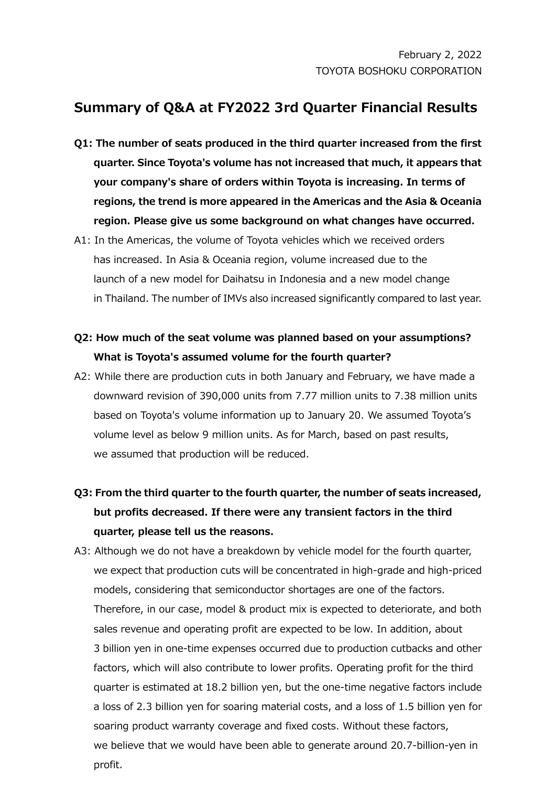## **Summary of Q&A at FY2022 3rd Quarter Financial Results**

- **Q1: The number of seats produced in the third quarter increased from the first quarter. Since Toyota's volume has not increased that much, it appears that your company's share of orders within Toyota is increasing. In terms of regions, the trend is more appeared in the Americas and the Asia & Oceania region. Please give us some background on what changes have occurred.**
- A1: In the Americas, the volume of Toyota vehicles which we received orders has increased. In Asia & Oceania region, volume increased due to the launch of a new model for Daihatsu in Indonesia and a new model change in Thailand. The number of IMVs also increased significantly compared to last year.

## **Q2: How much of the seat volume was planned based on your assumptions? What is Toyota's assumed volume for the fourth quarter?**

- A2: While there are production cuts in both January and February, we have made a downward revision of 390,000 units from 7.77 million units to 7.38 million units based on Toyota's volume information up to January 20. We assumed Toyota's volume level as below 9 million units. As for March, based on past results, we assumed that production will be reduced.
- **Q3: From the third quarter to the fourth quarter, the number of seats increased, but profits decreased. If there were any transient factors in the third quarter, please tell us the reasons.**
- A3: Although we do not have a breakdown by vehicle model for the fourth quarter, we expect that production cuts will be concentrated in high-grade and high-priced models, considering that semiconductor shortages are one of the factors. Therefore, in our case, model & product mix is expected to deteriorate, and both sales revenue and operating profit are expected to be low. In addition, about 3 billion yen in one-time expenses occurred due to production cutbacks and other factors, which will also contribute to lower profits. Operating profit for the third quarter is estimated at 18.2 billion yen, but the one-time negative factors include a loss of 2.3 billion yen for soaring material costs, and a loss of 1.5 billion yen for soaring product warranty coverage and fixed costs. Without these factors, we believe that we would have been able to generate around 20.7-billion-yen in profit.